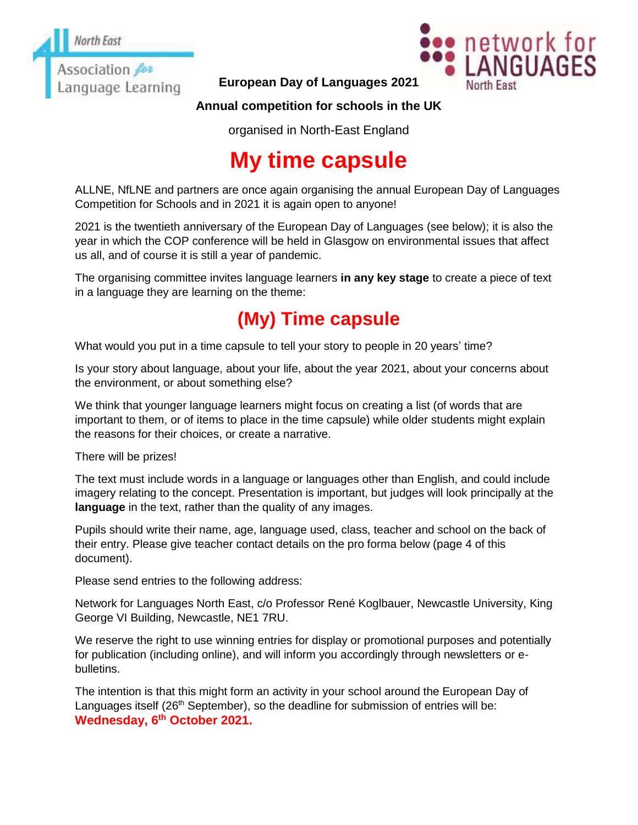

**European Day of Languages 2021**



### **Annual competition for schools in the UK**

organised in North-East England

# **My time capsule**

ALLNE, NfLNE and partners are once again organising the annual European Day of Languages Competition for Schools and in 2021 it is again open to anyone!

2021 is the twentieth anniversary of the European Day of Languages (see below); it is also the year in which the COP conference will be held in Glasgow on environmental issues that affect us all, and of course it is still a year of pandemic.

The organising committee invites language learners **in any key stage** to create a piece of text in a language they are learning on the theme:

## **(My) Time capsule**

What would you put in a time capsule to tell your story to people in 20 years' time?

Is your story about language, about your life, about the year 2021, about your concerns about the environment, or about something else?

We think that younger language learners might focus on creating a list (of words that are important to them, or of items to place in the time capsule) while older students might explain the reasons for their choices, or create a narrative.

There will be prizes!

The text must include words in a language or languages other than English, and could include imagery relating to the concept. Presentation is important, but judges will look principally at the **language** in the text, rather than the quality of any images.

Pupils should write their name, age, language used, class, teacher and school on the back of their entry. Please give teacher contact details on the pro forma below (page 4 of this document).

Please send entries to the following address:

Network for Languages North East, c/o Professor René Koglbauer, Newcastle University, King George VI Building, Newcastle, NE1 7RU.

We reserve the right to use winning entries for display or promotional purposes and potentially for publication (including online), and will inform you accordingly through newsletters or ebulletins.

The intention is that this might form an activity in your school around the European Day of Languages itself ( $26<sup>th</sup>$  September), so the deadline for submission of entries will be: **Wednesday, 6 th October 2021.**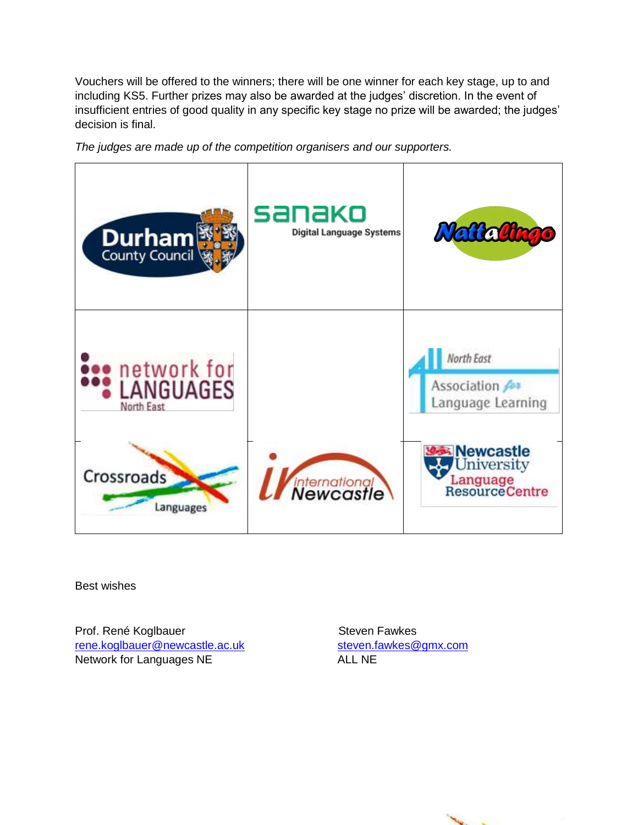Vouchers will be offered to the winners; there will be one winner for each key stage, up to and including KS5. Further prizes may also be awarded at the judges' discretion. In the event of insufficient entries of good quality in any specific key stage no prize will be awarded; the judges' decision is final.



*The judges are made up of the competition organisers and our supporters.* 

Best wishes

Prof. René Koglbauer Steven Fawkes [rene.koglbauer@newcastle.ac.uk](mailto:rene.koglbauer@newcastle.ac.uk) [steven.fawkes@gmx.com](mailto:steven.fawkes@gmx.com) Network for Languages NE ALL NE

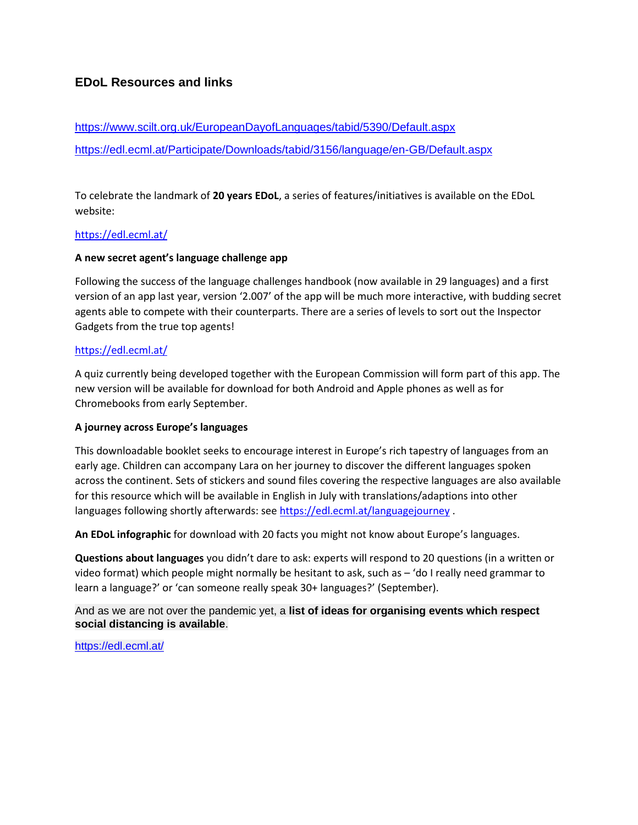#### **EDoL Resources and links**

## <https://www.scilt.org.uk/EuropeanDayofLanguages/tabid/5390/Default.aspx> <https://edl.ecml.at/Participate/Downloads/tabid/3156/language/en-GB/Default.aspx>

To celebrate the landmark of **20 years EDoL**, a series of features/initiatives is available on the EDoL website:

#### <https://edl.ecml.at/>

#### **A new secret agent's language challenge app**

Following the success of the language challenges handbook (now available in 29 languages) and a first version of an app last year, version '2.007' of the app will be much more interactive, with budding secret agents able to compete with their counterparts. There are a series of levels to sort out the Inspector Gadgets from the true top agents!

#### <https://edl.ecml.at/>

A quiz currently being developed together with the European Commission will form part of this app. The new version will be available for download for both Android and Apple phones as well as for Chromebooks from early September.

#### **A journey across Europe's languages**

This downloadable booklet seeks to encourage interest in Europe's rich tapestry of languages from an early age. Children can accompany Lara on her journey to discover the different languages spoken across the continent. Sets of stickers and sound files covering the respective languages are also available for this resource which will be available in English in July with translations/adaptions into other languages following shortly afterwards: see<https://edl.ecml.at/languagejourney> .

**An EDoL infographic** for download with 20 facts you might not know about Europe's languages.

**Questions about languages** you didn't dare to ask: experts will respond to 20 questions (in a written or video format) which people might normally be hesitant to ask, such as – 'do I really need grammar to learn a language?' or 'can someone really speak 30+ languages?' (September).

And as we are not over the pandemic yet, a **list of ideas for organising events which respect social distancing is available**.

<https://edl.ecml.at/>